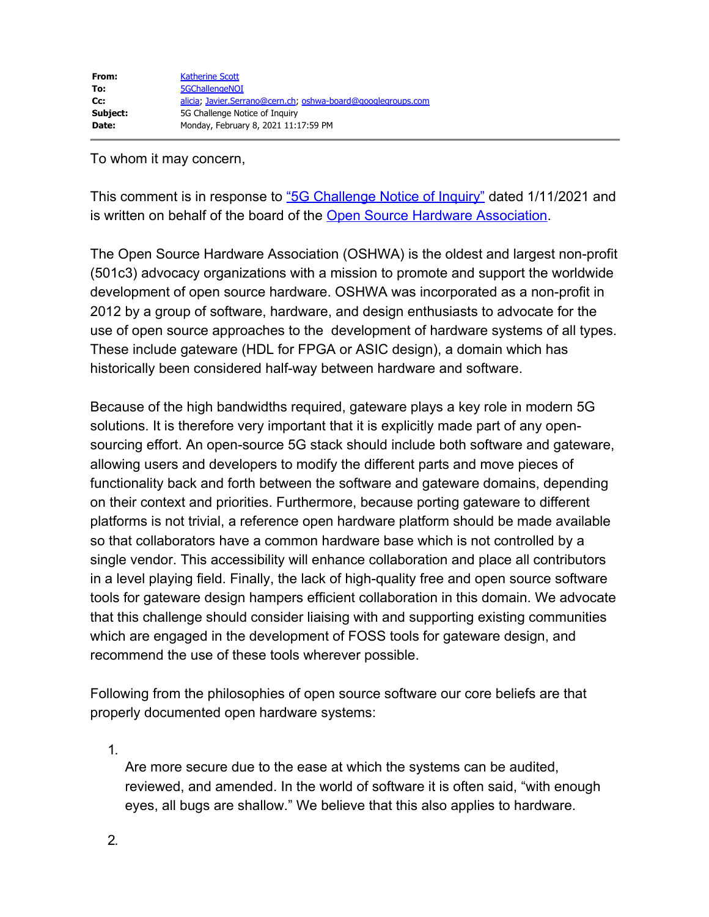To whom it may concern,

This comment is in response to ["5G Challenge Notice of Inquiry"](https://gcc02.safelinks.protection.outlook.com/?url=https%3A%2F%2Fwww.federalregister.gov%2Fdocuments%2F2021%2F01%2F11%2F2021-00202%2F5g-challenge-notice-of-inquiry&data=04%7C01%7C5GChallengeNOI%40ntia.gov%7C83ea4decdf6548e5d34408d8ccc270c4%7Cd6cff1bd67dd4ce8945dd07dc775672f%7C0%7C0%7C637484482786963276%7CUnknown%7CTWFpbGZsb3d8eyJWIjoiMC4wLjAwMDAiLCJQIjoiV2luMzIiLCJBTiI6Ik1haWwiLCJXVCI6Mn0%3D%7C3000&sdata=HwumOoux8GME37Li7rJ463P5gkoTI38jPfh3oCHRwDo%3D&reserved=0) dated 1/11/2021 and is written on behalf of the board of the [Open Source Hardware Association.](https://gcc02.safelinks.protection.outlook.com/?url=https%3A%2F%2Fwww.oshwa.org%2F&data=04%7C01%7C5GChallengeNOI%40ntia.gov%7C83ea4decdf6548e5d34408d8ccc270c4%7Cd6cff1bd67dd4ce8945dd07dc775672f%7C0%7C0%7C637484482786963276%7CUnknown%7CTWFpbGZsb3d8eyJWIjoiMC4wLjAwMDAiLCJQIjoiV2luMzIiLCJBTiI6Ik1haWwiLCJXVCI6Mn0%3D%7C3000&sdata=AXsqCzzZ7G20mJ7y04V7ToeMG03aFQlzlBEWUZL4LF4%3D&reserved=0)

The Open Source Hardware Association (OSHWA) is the oldest and largest non-profit (501c3) advocacy organizations with a mission to promote and support the worldwide development of open source hardware. OSHWA was incorporated as a non-profit in 2012 by a group of software, hardware, and design enthusiasts to advocate for the use of open source approaches to the development of hardware systems of all types. These include gateware (HDL for FPGA or ASIC design), a domain which has historically been considered half-way between hardware and software.

Because of the high bandwidths required, gateware plays a key role in modern 5G solutions. It is therefore very important that it is explicitly made part of any opensourcing effort. An open-source 5G stack should include both software and gateware, allowing users and developers to modify the different parts and move pieces of functionality back and forth between the software and gateware domains, depending on their context and priorities. Furthermore, because porting gateware to different platforms is not trivial, a reference open hardware platform should be made available so that collaborators have a common hardware base which is not controlled by a single vendor. This accessibility will enhance collaboration and place all contributors in a level playing field. Finally, the lack of high-quality free and open source software tools for gateware design hampers efficient collaboration in this domain. We advocate that this challenge should consider liaising with and supporting existing communities which are engaged in the development of FOSS tools for gateware design, and recommend the use of these tools wherever possible.

Following from the philosophies of open source software our core beliefs are that properly documented open hardware systems:

1.

Are more secure due to the ease at which the systems can be audited, reviewed, and amended. In the world of software it is often said, "with enough eyes, all bugs are shallow." We believe that this also applies to hardware.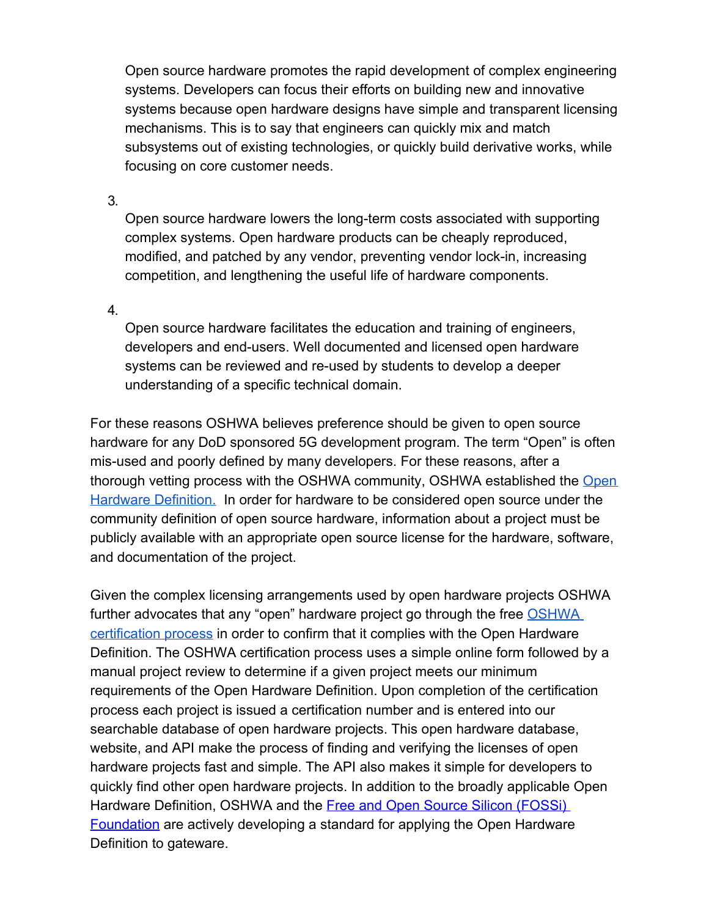Open source hardware promotes the rapid development of complex engineering systems. Developers can focus their efforts on building new and innovative systems because open hardware designs have simple and transparent licensing mechanisms. This is to say that engineers can quickly mix and match subsystems out of existing technologies, or quickly build derivative works, while focusing on core customer needs.

3.

Open source hardware lowers the long-term costs associated with supporting complex systems. Open hardware products can be cheaply reproduced, modified, and patched by any vendor, preventing vendor lock-in, increasing competition, and lengthening the useful life of hardware components.

4.

Open source hardware facilitates the education and training of engineers, developers and end-users. Well documented and licensed open hardware systems can be reviewed and re-used by students to develop a deeper understanding of a specific technical domain.

For these reasons OSHWA believes preference should be given to open source hardware for any DoD sponsored 5G development program. The term "Open" is often mis-used and poorly defined by many developers. For these reasons, after a thorough vetting process with the OSHWA community, OSHWA established the [Open](https://gcc02.safelinks.protection.outlook.com/?url=https%3A%2F%2Fwww.oshwa.org%2Fdefinition%2F&data=04%7C01%7C5GChallengeNOI%40ntia.gov%7C83ea4decdf6548e5d34408d8ccc270c4%7Cd6cff1bd67dd4ce8945dd07dc775672f%7C0%7C0%7C637484482786973231%7CUnknown%7CTWFpbGZsb3d8eyJWIjoiMC4wLjAwMDAiLCJQIjoiV2luMzIiLCJBTiI6Ik1haWwiLCJXVCI6Mn0%3D%7C3000&sdata=MUIVR3jE1IDoK9PXSLvhWmI3pwYoq50WifiCRnIG%2BQQ%3D&reserved=0) [Hardware Definition.](https://gcc02.safelinks.protection.outlook.com/?url=https%3A%2F%2Fwww.oshwa.org%2Fdefinition%2F&data=04%7C01%7C5GChallengeNOI%40ntia.gov%7C83ea4decdf6548e5d34408d8ccc270c4%7Cd6cff1bd67dd4ce8945dd07dc775672f%7C0%7C0%7C637484482786973231%7CUnknown%7CTWFpbGZsb3d8eyJWIjoiMC4wLjAwMDAiLCJQIjoiV2luMzIiLCJBTiI6Ik1haWwiLCJXVCI6Mn0%3D%7C3000&sdata=MUIVR3jE1IDoK9PXSLvhWmI3pwYoq50WifiCRnIG%2BQQ%3D&reserved=0) In order for hardware to be considered open source under the community definition of open source hardware, information about a project must be publicly available with an appropriate open source license for the hardware, software, and documentation of the project.

Given the complex licensing arrangements used by open hardware projects OSHWA further advocates that any "open" hardware project go through the free [OSHWA](https://gcc02.safelinks.protection.outlook.com/?url=https%3A%2F%2Fcertification.oshwa.org%2F&data=04%7C01%7C5GChallengeNOI%40ntia.gov%7C83ea4decdf6548e5d34408d8ccc270c4%7Cd6cff1bd67dd4ce8945dd07dc775672f%7C0%7C0%7C637484482786973231%7CUnknown%7CTWFpbGZsb3d8eyJWIjoiMC4wLjAwMDAiLCJQIjoiV2luMzIiLCJBTiI6Ik1haWwiLCJXVCI6Mn0%3D%7C3000&sdata=ryLI92%2FHa1%2BXSwqwnQeppTvTt8rnjBzkSpcUR5xrdiA%3D&reserved=0) [certification process](https://gcc02.safelinks.protection.outlook.com/?url=https%3A%2F%2Fcertification.oshwa.org%2F&data=04%7C01%7C5GChallengeNOI%40ntia.gov%7C83ea4decdf6548e5d34408d8ccc270c4%7Cd6cff1bd67dd4ce8945dd07dc775672f%7C0%7C0%7C637484482786973231%7CUnknown%7CTWFpbGZsb3d8eyJWIjoiMC4wLjAwMDAiLCJQIjoiV2luMzIiLCJBTiI6Ik1haWwiLCJXVCI6Mn0%3D%7C3000&sdata=ryLI92%2FHa1%2BXSwqwnQeppTvTt8rnjBzkSpcUR5xrdiA%3D&reserved=0) in order to confirm that it complies with the Open Hardware Definition. The OSHWA certification process uses a simple online form followed by a manual project review to determine if a given project meets our minimum requirements of the Open Hardware Definition. Upon completion of the certification process each project is issued a certification number and is entered into our searchable database of open hardware projects. This open hardware database, website, and API make the process of finding and verifying the licenses of open hardware projects fast and simple. The API also makes it simple for developers to quickly find other open hardware projects. In addition to the broadly applicable Open Hardware Definition, OSHWA and the **Free and Open Source Silicon (FOSSi)** [Foundation](https://gcc02.safelinks.protection.outlook.com/?url=https%3A%2F%2Fwww.fossi-foundation.org%2F&data=04%7C01%7C5GChallengeNOI%40ntia.gov%7C83ea4decdf6548e5d34408d8ccc270c4%7Cd6cff1bd67dd4ce8945dd07dc775672f%7C0%7C0%7C637484482786983187%7CUnknown%7CTWFpbGZsb3d8eyJWIjoiMC4wLjAwMDAiLCJQIjoiV2luMzIiLCJBTiI6Ik1haWwiLCJXVCI6Mn0%3D%7C3000&sdata=vEJem6CpIPabd%2BlNTwBGD4ckoReV0vMlfrHJ6INf1Ks%3D&reserved=0) are actively developing a standard for applying the Open Hardware Definition to gateware.